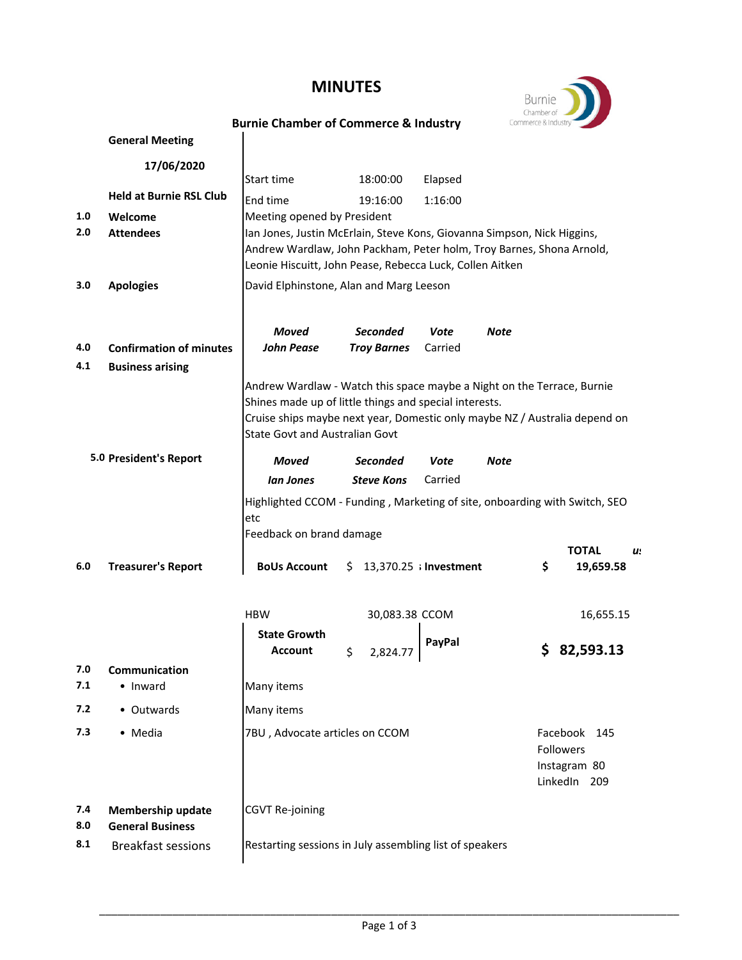## **MINUTES**



## **Burnie Chamber of Commerce & Industry**

|     | <b>General Meeting</b>         |                                                                                                                                                 |                                |         |           |                 |  |  |
|-----|--------------------------------|-------------------------------------------------------------------------------------------------------------------------------------------------|--------------------------------|---------|-----------|-----------------|--|--|
|     | 17/06/2020                     |                                                                                                                                                 |                                |         |           |                 |  |  |
|     | <b>Held at Burnie RSL Club</b> | Start time                                                                                                                                      | 18:00:00                       | Elapsed |           |                 |  |  |
| 1.0 | Welcome                        | End time<br>Meeting opened by President                                                                                                         | 19:16:00                       | 1:16:00 |           |                 |  |  |
| 2.0 | <b>Attendees</b>               |                                                                                                                                                 |                                |         |           |                 |  |  |
|     |                                | Ian Jones, Justin McErlain, Steve Kons, Giovanna Simpson, Nick Higgins,<br>Andrew Wardlaw, John Packham, Peter holm, Troy Barnes, Shona Arnold, |                                |         |           |                 |  |  |
|     |                                | Leonie Hiscuitt, John Pease, Rebecca Luck, Collen Aitken                                                                                        |                                |         |           |                 |  |  |
| 3.0 | <b>Apologies</b>               | David Elphinstone, Alan and Marg Leeson                                                                                                         |                                |         |           |                 |  |  |
|     |                                |                                                                                                                                                 |                                |         |           |                 |  |  |
|     |                                | Moved                                                                                                                                           | <b>Seconded</b>                | Vote    | Note      |                 |  |  |
| 4.0 | <b>Confirmation of minutes</b> | <b>John Pease</b>                                                                                                                               | <b>Troy Barnes</b>             | Carried |           |                 |  |  |
| 4.1 | <b>Business arising</b>        |                                                                                                                                                 |                                |         |           |                 |  |  |
|     |                                | Andrew Wardlaw - Watch this space maybe a Night on the Terrace, Burnie                                                                          |                                |         |           |                 |  |  |
|     |                                | Shines made up of little things and special interests.<br>Cruise ships maybe next year, Domestic only maybe NZ / Australia depend on            |                                |         |           |                 |  |  |
|     |                                | <b>State Govt and Australian Govt</b>                                                                                                           |                                |         |           |                 |  |  |
|     | 5.0 President's Report         | Moved                                                                                                                                           | <b>Seconded</b>                | Vote    | Note      |                 |  |  |
|     |                                | lan Jones                                                                                                                                       | <b>Steve Kons</b>              | Carried |           |                 |  |  |
|     |                                | Highlighted CCOM - Funding, Marketing of site, onboarding with Switch, SEO<br>etc<br>Feedback on brand damage                                   |                                |         |           | <b>TOTAL</b>    |  |  |
| 6.0 | <b>Treasurer's Report</b>      | <b>BoUs Account</b>                                                                                                                             | $$13,370.25$ ; Investment      |         | \$        | u.<br>19,659.58 |  |  |
|     |                                | <b>HBW</b>                                                                                                                                      | 30,083.38 CCOM                 |         |           | 16,655.15       |  |  |
|     |                                | <b>State Growth</b><br><b>Account</b>                                                                                                           | \$<br>2,824.7                  | PayPal  |           | 82,593.13       |  |  |
| 7.0 | Communication                  |                                                                                                                                                 |                                |         |           |                 |  |  |
| 7.1 | • Inward                       | Many items                                                                                                                                      |                                |         |           |                 |  |  |
| 7.2 | • Outwards                     | Many items                                                                                                                                      |                                |         |           |                 |  |  |
| 7.3 | • Media                        |                                                                                                                                                 | 7BU, Advocate articles on CCOM |         |           | Facebook<br>145 |  |  |
|     |                                |                                                                                                                                                 |                                |         | Followers |                 |  |  |
|     |                                |                                                                                                                                                 |                                |         |           | Instagram 80    |  |  |
|     |                                |                                                                                                                                                 |                                |         |           | LinkedIn 209    |  |  |
| 7.4 | <b>Membership update</b>       | <b>CGVT Re-joining</b>                                                                                                                          |                                |         |           |                 |  |  |
| 8.0 | <b>General Business</b>        |                                                                                                                                                 |                                |         |           |                 |  |  |
| 8.1 | <b>Breakfast sessions</b>      | Restarting sessions in July assembling list of speakers                                                                                         |                                |         |           |                 |  |  |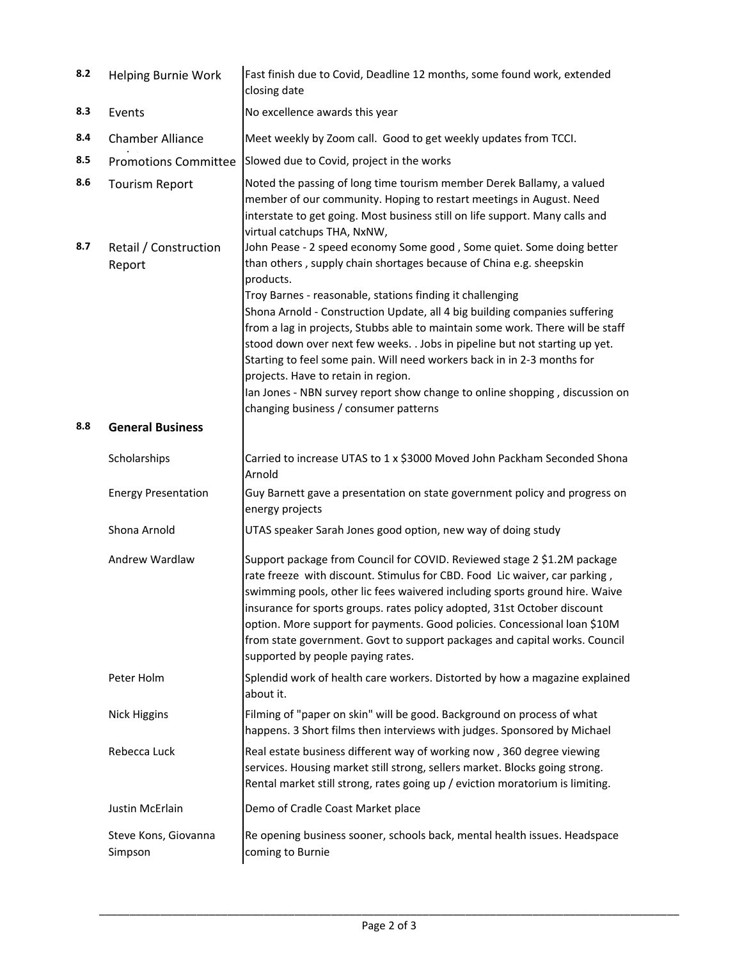| 8.2 | <b>Helping Burnie Work</b>      | Fast finish due to Covid, Deadline 12 months, some found work, extended<br>closing date                                                                                                                                                                                                                                                                                                                                                                                                                                                                                                                                                                                |  |
|-----|---------------------------------|------------------------------------------------------------------------------------------------------------------------------------------------------------------------------------------------------------------------------------------------------------------------------------------------------------------------------------------------------------------------------------------------------------------------------------------------------------------------------------------------------------------------------------------------------------------------------------------------------------------------------------------------------------------------|--|
| 8.3 | Events                          | No excellence awards this year                                                                                                                                                                                                                                                                                                                                                                                                                                                                                                                                                                                                                                         |  |
| 8.4 | <b>Chamber Alliance</b>         | Meet weekly by Zoom call. Good to get weekly updates from TCCI.                                                                                                                                                                                                                                                                                                                                                                                                                                                                                                                                                                                                        |  |
| 8.5 | <b>Promotions Committee</b>     | Slowed due to Covid, project in the works                                                                                                                                                                                                                                                                                                                                                                                                                                                                                                                                                                                                                              |  |
| 8.6 | <b>Tourism Report</b>           | Noted the passing of long time tourism member Derek Ballamy, a valued<br>member of our community. Hoping to restart meetings in August. Need<br>interstate to get going. Most business still on life support. Many calls and<br>virtual catchups THA, NxNW,                                                                                                                                                                                                                                                                                                                                                                                                            |  |
| 8.7 | Retail / Construction<br>Report | John Pease - 2 speed economy Some good, Some quiet. Some doing better<br>than others, supply chain shortages because of China e.g. sheepskin<br>products.<br>Troy Barnes - reasonable, stations finding it challenging<br>Shona Arnold - Construction Update, all 4 big building companies suffering<br>from a lag in projects, Stubbs able to maintain some work. There will be staff<br>stood down over next few weeks. . Jobs in pipeline but not starting up yet.<br>Starting to feel some pain. Will need workers back in in 2-3 months for<br>projects. Have to retain in region.<br>lan Jones - NBN survey report show change to online shopping, discussion on |  |
|     |                                 | changing business / consumer patterns                                                                                                                                                                                                                                                                                                                                                                                                                                                                                                                                                                                                                                  |  |
| 8.8 | <b>General Business</b>         |                                                                                                                                                                                                                                                                                                                                                                                                                                                                                                                                                                                                                                                                        |  |
|     | Scholarships                    | Carried to increase UTAS to 1 x \$3000 Moved John Packham Seconded Shona<br>Arnold                                                                                                                                                                                                                                                                                                                                                                                                                                                                                                                                                                                     |  |
|     | <b>Energy Presentation</b>      | Guy Barnett gave a presentation on state government policy and progress on<br>energy projects                                                                                                                                                                                                                                                                                                                                                                                                                                                                                                                                                                          |  |
|     | Shona Arnold                    | UTAS speaker Sarah Jones good option, new way of doing study                                                                                                                                                                                                                                                                                                                                                                                                                                                                                                                                                                                                           |  |
|     | Andrew Wardlaw                  | Support package from Council for COVID. Reviewed stage 2 \$1.2M package<br>rate freeze with discount. Stimulus for CBD. Food Lic waiver, car parking,<br>swimming pools, other lic fees waivered including sports ground hire. Waive<br>insurance for sports groups. rates policy adopted, 31st October discount<br>option. More support for payments. Good policies. Concessional loan \$10M<br>from state government. Govt to support packages and capital works. Council<br>supported by people paying rates.                                                                                                                                                       |  |
|     | Peter Holm                      | Splendid work of health care workers. Distorted by how a magazine explained<br>about it.                                                                                                                                                                                                                                                                                                                                                                                                                                                                                                                                                                               |  |
|     | <b>Nick Higgins</b>             | Filming of "paper on skin" will be good. Background on process of what<br>happens. 3 Short films then interviews with judges. Sponsored by Michael                                                                                                                                                                                                                                                                                                                                                                                                                                                                                                                     |  |
|     | Rebecca Luck                    | Real estate business different way of working now, 360 degree viewing<br>services. Housing market still strong, sellers market. Blocks going strong.<br>Rental market still strong, rates going up / eviction moratorium is limiting.                                                                                                                                                                                                                                                                                                                                                                                                                                  |  |
|     | Justin McErlain                 | Demo of Cradle Coast Market place                                                                                                                                                                                                                                                                                                                                                                                                                                                                                                                                                                                                                                      |  |
|     | Steve Kons, Giovanna<br>Simpson | Re opening business sooner, schools back, mental health issues. Headspace<br>coming to Burnie                                                                                                                                                                                                                                                                                                                                                                                                                                                                                                                                                                          |  |